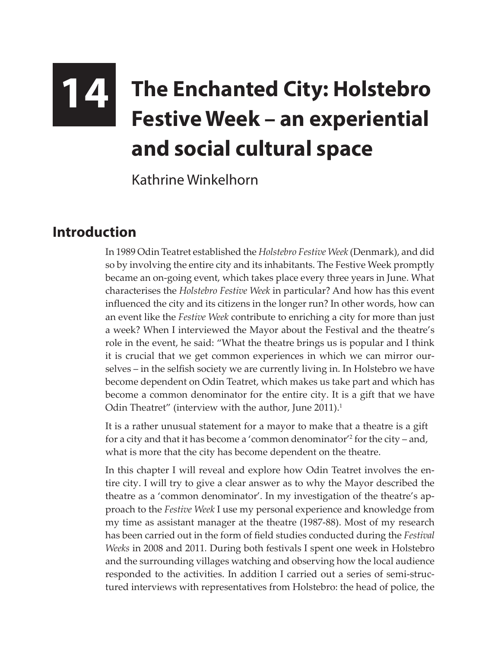## **14 The Enchanted City: Holstebro Festive Week – an experiential and social cultural space**

Kathrine Winkelhorn

## **Introduction**

In 1989 Odin Teatret established the *Holstebro Festive Week* (Denmark), and did so by involving the entire city and its inhabitants. The Festive Week promptly became an on-going event, which takes place every three years in June. What characterises the *Holstebro Festive Week* in particular? And how has this event influenced the city and its citizens in the longer run? In other words, how can an event like the *Festive Week* contribute to enriching a city for more than just a week? When I interviewed the Mayor about the Festival and the theatre's role in the event, he said: "What the theatre brings us is popular and I think it is crucial that we get common experiences in which we can mirror ourselves – in the selfish society we are currently living in. In Holstebro we have become dependent on Odin Teatret, which makes us take part and which has become a common denominator for the entire city. It is a gift that we have Odin Theatret" (interview with the author, June 2011).<sup>1</sup>

It is a rather unusual statement for a mayor to make that a theatre is a gift for a city and that it has become a 'common denominator'2 for the city – and, what is more that the city has become dependent on the theatre.

In this chapter I will reveal and explore how Odin Teatret involves the entire city. I will try to give a clear answer as to why the Mayor described the theatre as a 'common denominator'. In my investigation of the theatre's approach to the *Festive Week* I use my personal experience and knowledge from my time as assistant manager at the theatre (1987-88). Most of my research has been carried out in the form of field studies conducted during the *Festival Weeks* in 2008 and 2011*.* During both festivals I spent one week in Holstebro and the surrounding villages watching and observing how the local audience responded to the activities. In addition I carried out a series of semi-structured interviews with representatives from Holstebro: the head of police, the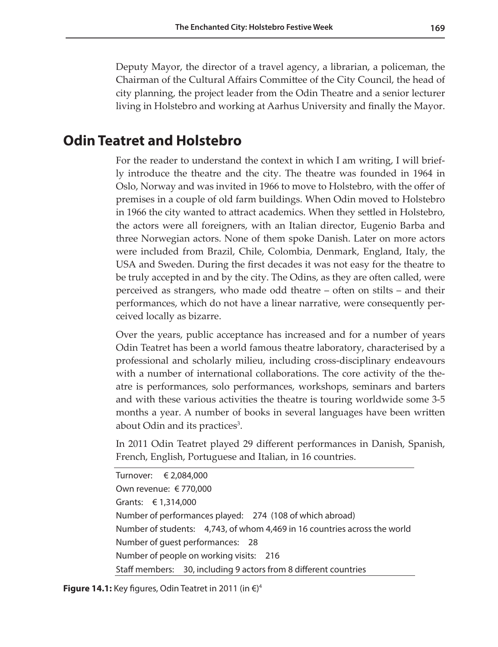Deputy Mayor, the director of a travel agency, a librarian, a policeman, the Chairman of the Cultural Affairs Committee of the City Council, the head of city planning, the project leader from the Odin Theatre and a senior lecturer living in Holstebro and working at Aarhus University and finally the Mayor.

## **Odin Teatret and Holstebro**

For the reader to understand the context in which I am writing, I will briefly introduce the theatre and the city. The theatre was founded in 1964 in Oslo, Norway and was invited in 1966 to move to Holstebro, with the offer of premises in a couple of old farm buildings. When Odin moved to Holstebro in 1966 the city wanted to attract academics. When they settled in Holstebro, the actors were all foreigners, with an Italian director, Eugenio Barba and three Norwegian actors. None of them spoke Danish. Later on more actors were included from Brazil, Chile, Colombia, Denmark, England, Italy, the USA and Sweden. During the first decades it was not easy for the theatre to be truly accepted in and by the city. The Odins, as they are often called, were perceived as strangers, who made odd theatre – often on stilts – and their performances, which do not have a linear narrative, were consequently perceived locally as bizarre.

Over the years, public acceptance has increased and for a number of years Odin Teatret has been a world famous theatre laboratory, characterised by a professional and scholarly milieu, including cross-disciplinary endeavours with a number of international collaborations. The core activity of the theatre is performances, solo performances, workshops, seminars and barters and with these various activities the theatre is touring worldwide some 3-5 months a year. A number of books in several languages have been written about Odin and its practices<sup>3</sup>.

In 2011 Odin Teatret played 29 different performances in Danish, Spanish, French, English, Portuguese and Italian, in 16 countries.

Turnover: € 2,084,000 Own revenue: € 770,000 Grants: € 1,314,000 Number of performances played: 274 (108 of which abroad) Number of students: 4,743, of whom 4,469 in 16 countries across the world Number of guest performances: 28 Number of people on working visits: 216 Staff members: 30, including 9 actors from 8 different countries